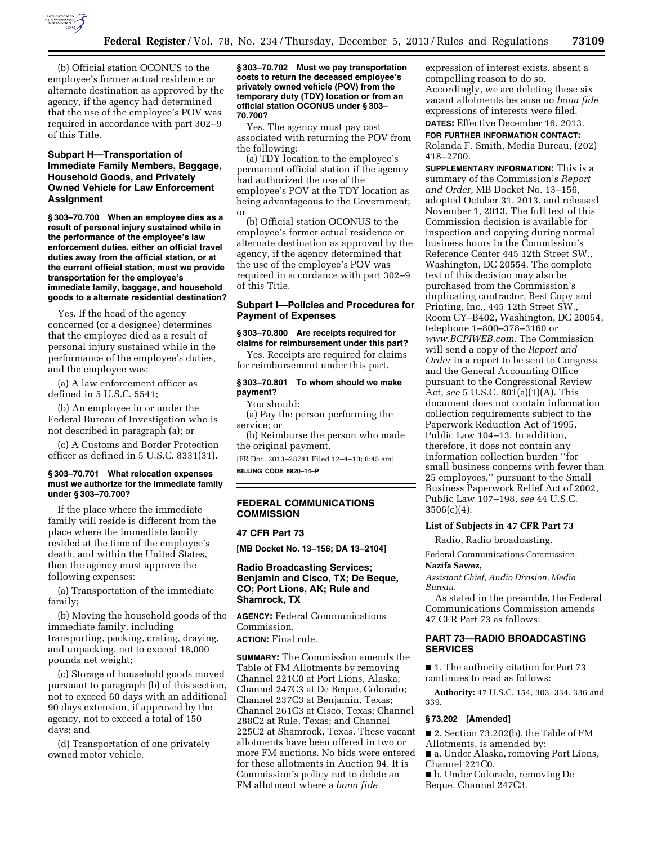

(b) Official station OCONUS to the employee's former actual residence or alternate destination as approved by the agency, if the agency had determined that the use of the employee's POV was required in accordance with part 302–9 of this Title.

### **Subpart H—Transportation of Immediate Family Members, Baggage, Household Goods, and Privately Owned Vehicle for Law Enforcement Assignment**

**§ 303–70.700 When an employee dies as a result of personal injury sustained while in the performance of the employee's law enforcement duties, either on official travel duties away from the official station, or at the current official station, must we provide transportation for the employee's immediate family, baggage, and household goods to a alternate residential destination?** 

Yes. If the head of the agency concerned (or a designee) determines that the employee died as a result of personal injury sustained while in the performance of the employee's duties, and the employee was:

(a) A law enforcement officer as defined in 5 U.S.C. 5541;

(b) An employee in or under the Federal Bureau of Investigation who is not described in paragraph (a); or

(c) A Customs and Border Protection officer as defined in 5 U.S.C. 8331(31).

### **§ 303–70.701 What relocation expenses must we authorize for the immediate family under § 303–70.700?**

If the place where the immediate family will reside is different from the place where the immediate family resided at the time of the employee's death, and within the United States, then the agency must approve the following expenses:

(a) Transportation of the immediate family;

(b) Moving the household goods of the immediate family, including transporting, packing, crating, draying, and unpacking, not to exceed 18,000 pounds net weight;

(c) Storage of household goods moved pursuant to paragraph (b) of this section, not to exceed 60 days with an additional 90 days extension, if approved by the agency, not to exceed a total of 150 days; and

(d) Transportation of one privately owned motor vehicle.

#### **§ 303–70.702 Must we pay transportation costs to return the deceased employee's privately owned vehicle (POV) from the temporary duty (TDY) location or from an official station OCONUS under § 303– 70.700?**

Yes. The agency must pay cost associated with returning the POV from the following:

(a) TDY location to the employee's permanent official station if the agency had authorized the use of the employee's POV at the TDY location as being advantageous to the Government; or

(b) Official station OCONUS to the employee's former actual residence or alternate destination as approved by the agency, if the agency determined that the use of the employee's POV was required in accordance with part 302–9 of this Title.

### **Subpart I—Policies and Procedures for Payment of Expenses**

#### **§ 303–70.800 Are receipts required for claims for reimbursement under this part?**

Yes. Receipts are required for claims for reimbursement under this part.

### **§ 303–70.801 To whom should we make payment?**

You should:

(a) Pay the person performing the service; or

(b) Reimburse the person who made the original payment.

[FR Doc. 2013–28741 Filed 12–4–13; 8:45 am] **BILLING CODE 6820–14–P** 

### **FEDERAL COMMUNICATIONS COMMISSION**

## **47 CFR Part 73**

**[MB Docket No. 13–156; DA 13–2104]** 

### **Radio Broadcasting Services; Benjamin and Cisco, TX; De Beque, CO; Port Lions, AK; Rule and Shamrock, TX**

**AGENCY:** Federal Communications Commission.

## **ACTION:** Final rule.

**SUMMARY:** The Commission amends the Table of FM Allotments by removing Channel 221C0 at Port Lions, Alaska; Channel 247C3 at De Beque, Colorado; Channel 237C3 at Benjamin, Texas; Channel 261C3 at Cisco, Texas; Channel 288C2 at Rule, Texas; and Channel 225C2 at Shamrock, Texas. These vacant allotments have been offered in two or more FM auctions. No bids were entered for these allotments in Auction 94. It is Commission's policy not to delete an FM allotment where a *bona fide* 

expression of interest exists, absent a compelling reason to do so. Accordingly, we are deleting these six vacant allotments because no *bona fide*  expressions of interests were filed. **DATES:** Effective December 16, 2013.

# **FOR FURTHER INFORMATION CONTACT:**

Rolanda F. Smith, Media Bureau, (202) 418–2700.

**SUPPLEMENTARY INFORMATION:** This is a summary of the Commission's *Report and Order,* MB Docket No. 13–156, adopted October 31, 2013, and released November 1, 2013. The full text of this Commission decision is available for inspection and copying during normal business hours in the Commission's Reference Center 445 12th Street SW., Washington, DC 20554. The complete text of this decision may also be purchased from the Commission's duplicating contractor, Best Copy and Printing, Inc., 445 12th Street SW., Room CY–B402, Washington, DC 20054, telephone 1–800–378–3160 or *[www.BCPIWEB.com](http://www.BCPIWEB.com)*. The Commission will send a copy of the *Report and Order* in a report to be sent to Congress and the General Accounting Office pursuant to the Congressional Review Act, *see* 5 U.S.C. 801(a)(1)(A). This document does not contain information collection requirements subject to the Paperwork Reduction Act of 1995, Public Law 104–13. In addition, therefore, it does not contain any information collection burden ''for small business concerns with fewer than 25 employees,'' pursuant to the Small Business Paperwork Relief Act of 2002, Public Law 107–198, *see* 44 U.S.C.  $3506(c)(4)$ .

#### **List of Subjects in 47 CFR Part 73**

Radio, Radio broadcasting.

Federal Communications Commission.

## **Nazifa Sawez,**

*Assistant Chief, Audio Division, Media Bureau.* 

As stated in the preamble, the Federal Communications Commission amends 47 CFR Part 73 as follows:

## **PART 73—RADIO BROADCASTING SERVICES**

■ 1. The authority citation for Part 73 continues to read as follows:

**Authority:** 47 U.S.C. 154, 303, 334, 336 and 339.

### **§ 73.202 [Amended]**

■ 2. Section 73.202(b), the Table of FM Allotments, is amended by: ■ a. Under Alaska, removing Port Lions, Channel 221C0. ■ b. Under Colorado, removing De

Beque, Channel 247C3.